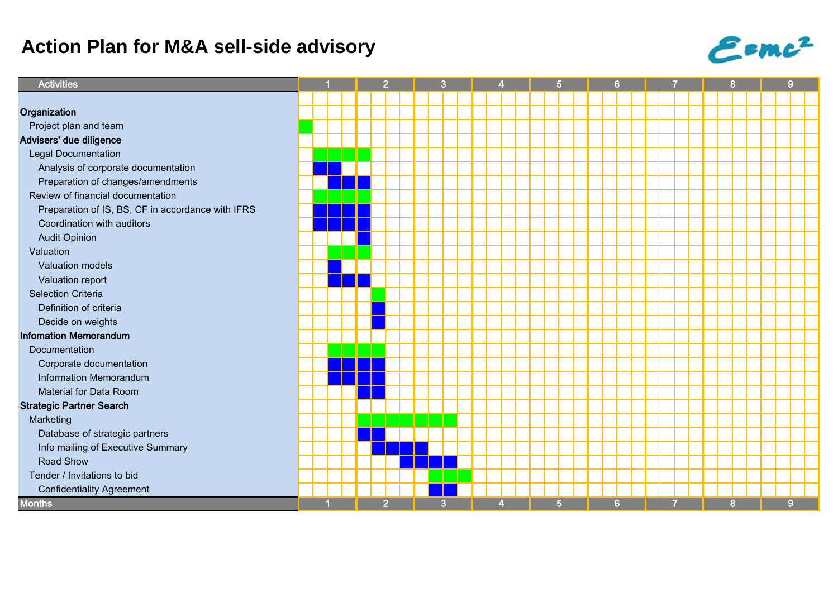## **Action Plan for M&A sell-side advisory**



| <b>Activities</b>                                 |  |  | $\overline{2}$ |  | 3              |  |   |  | 5 |  |                |  | 6              |  |  |   | 8 |  |   | 9 |          |  |
|---------------------------------------------------|--|--|----------------|--|----------------|--|---|--|---|--|----------------|--|----------------|--|--|---|---|--|---|---|----------|--|
|                                                   |  |  |                |  |                |  |   |  |   |  |                |  |                |  |  |   |   |  |   |   |          |  |
| Organization                                      |  |  |                |  |                |  |   |  |   |  |                |  |                |  |  |   |   |  |   |   |          |  |
| Project plan and team                             |  |  |                |  |                |  |   |  |   |  |                |  |                |  |  |   |   |  |   |   |          |  |
| Advisers' due diligence                           |  |  |                |  |                |  |   |  |   |  |                |  |                |  |  |   |   |  |   |   |          |  |
| <b>Legal Documentation</b>                        |  |  |                |  |                |  |   |  |   |  |                |  |                |  |  |   |   |  |   |   |          |  |
| Analysis of corporate documentation               |  |  |                |  |                |  |   |  |   |  |                |  |                |  |  |   |   |  |   |   |          |  |
| Preparation of changes/amendments                 |  |  |                |  |                |  |   |  |   |  |                |  |                |  |  |   |   |  |   |   |          |  |
| Review of financial documentation                 |  |  |                |  |                |  |   |  |   |  |                |  |                |  |  |   |   |  |   |   |          |  |
| Preparation of IS, BS, CF in accordance with IFRS |  |  |                |  |                |  |   |  |   |  |                |  |                |  |  |   |   |  |   |   |          |  |
| Coordination with auditors                        |  |  |                |  |                |  |   |  |   |  |                |  |                |  |  |   |   |  |   |   |          |  |
| <b>Audit Opinion</b>                              |  |  |                |  |                |  |   |  |   |  |                |  |                |  |  |   |   |  |   |   |          |  |
| Valuation                                         |  |  |                |  |                |  |   |  |   |  |                |  |                |  |  |   |   |  |   |   |          |  |
| <b>Valuation models</b>                           |  |  |                |  |                |  |   |  |   |  |                |  |                |  |  |   |   |  |   |   |          |  |
| Valuation report                                  |  |  |                |  |                |  |   |  |   |  |                |  |                |  |  |   |   |  |   |   |          |  |
| <b>Selection Criteria</b>                         |  |  |                |  |                |  |   |  |   |  |                |  |                |  |  |   |   |  |   |   |          |  |
| Definition of criteria                            |  |  |                |  |                |  |   |  |   |  |                |  |                |  |  |   |   |  |   |   |          |  |
| Decide on weights                                 |  |  |                |  |                |  |   |  |   |  |                |  |                |  |  |   |   |  |   |   |          |  |
| <b>Infomation Memorandum</b>                      |  |  |                |  |                |  |   |  |   |  |                |  |                |  |  |   |   |  |   |   |          |  |
| Documentation                                     |  |  |                |  |                |  |   |  |   |  |                |  |                |  |  |   |   |  |   |   |          |  |
| Corporate documentation                           |  |  |                |  |                |  |   |  |   |  |                |  |                |  |  |   |   |  |   |   |          |  |
| Information Memorandum                            |  |  |                |  |                |  |   |  |   |  |                |  |                |  |  |   |   |  |   |   |          |  |
| Material for Data Room                            |  |  |                |  |                |  |   |  |   |  |                |  |                |  |  |   |   |  |   |   |          |  |
| <b>Strategic Partner Search</b>                   |  |  |                |  |                |  |   |  |   |  |                |  |                |  |  |   |   |  |   |   |          |  |
| Marketing                                         |  |  |                |  |                |  |   |  |   |  |                |  |                |  |  |   |   |  |   |   |          |  |
| Database of strategic partners                    |  |  |                |  |                |  |   |  |   |  |                |  |                |  |  |   |   |  |   |   |          |  |
| Info mailing of Executive Summary                 |  |  |                |  |                |  |   |  |   |  |                |  |                |  |  |   |   |  |   |   |          |  |
| Road Show                                         |  |  |                |  |                |  |   |  |   |  |                |  |                |  |  |   |   |  |   |   |          |  |
| Tender / Invitations to bid                       |  |  |                |  |                |  |   |  |   |  |                |  |                |  |  |   |   |  |   |   |          |  |
| <b>Confidentiality Agreement</b>                  |  |  |                |  |                |  |   |  |   |  |                |  |                |  |  |   |   |  |   |   |          |  |
| <b>Months</b>                                     |  |  |                |  | $\overline{2}$ |  | 3 |  | 4 |  | 5 <sup>5</sup> |  | 6 <sup>°</sup> |  |  | 7 |   |  | 8 |   | $\bf{9}$ |  |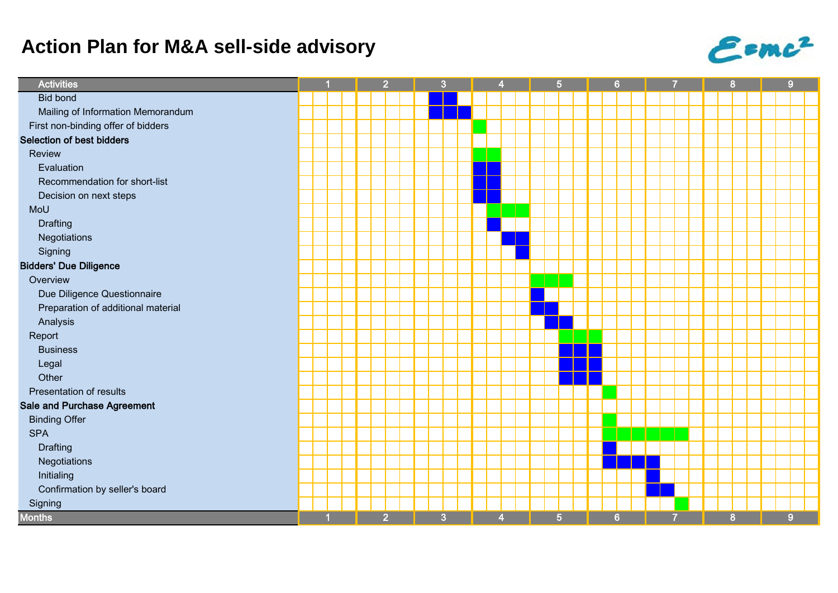## **Action Plan for M&A sell-side advisory**



| <b>Activities</b>                  |  |  | $\overline{2}$ |  | 3              |                |  |  | 5 <sub>5</sub> |  | 6              |  |   |  |  |   | 8 |  |   |  | $\boldsymbol{9}$ |   |  |
|------------------------------------|--|--|----------------|--|----------------|----------------|--|--|----------------|--|----------------|--|---|--|--|---|---|--|---|--|------------------|---|--|
| <b>Bid bond</b>                    |  |  |                |  |                |                |  |  |                |  |                |  |   |  |  |   |   |  |   |  |                  |   |  |
| Mailing of Information Memorandum  |  |  |                |  |                |                |  |  |                |  |                |  |   |  |  |   |   |  |   |  |                  |   |  |
| First non-binding offer of bidders |  |  |                |  |                |                |  |  |                |  |                |  |   |  |  |   |   |  |   |  |                  |   |  |
| <b>Selection of best bidders</b>   |  |  |                |  |                |                |  |  |                |  |                |  |   |  |  |   |   |  |   |  |                  |   |  |
| Review                             |  |  |                |  |                |                |  |  |                |  |                |  |   |  |  |   |   |  |   |  |                  |   |  |
| Evaluation                         |  |  |                |  |                |                |  |  |                |  |                |  |   |  |  |   |   |  |   |  |                  |   |  |
| Recommendation for short-list      |  |  |                |  |                |                |  |  |                |  |                |  |   |  |  |   |   |  |   |  |                  |   |  |
| Decision on next steps             |  |  |                |  |                |                |  |  |                |  |                |  |   |  |  |   |   |  |   |  |                  |   |  |
| MoU                                |  |  |                |  |                |                |  |  |                |  |                |  |   |  |  |   |   |  |   |  |                  |   |  |
| <b>Drafting</b>                    |  |  |                |  |                |                |  |  |                |  |                |  |   |  |  |   |   |  |   |  |                  |   |  |
| Negotiations                       |  |  |                |  |                |                |  |  |                |  |                |  |   |  |  |   |   |  |   |  |                  |   |  |
| Signing                            |  |  |                |  |                |                |  |  |                |  |                |  |   |  |  |   |   |  |   |  |                  |   |  |
| <b>Bidders' Due Diligence</b>      |  |  |                |  |                |                |  |  |                |  |                |  |   |  |  |   |   |  |   |  |                  |   |  |
| Overview                           |  |  |                |  |                |                |  |  |                |  |                |  |   |  |  |   |   |  |   |  |                  |   |  |
| Due Diligence Questionnaire        |  |  |                |  |                |                |  |  |                |  |                |  |   |  |  |   |   |  |   |  |                  |   |  |
| Preparation of additional material |  |  |                |  |                |                |  |  |                |  |                |  |   |  |  |   |   |  |   |  |                  |   |  |
| Analysis                           |  |  |                |  |                |                |  |  |                |  |                |  |   |  |  |   |   |  |   |  |                  |   |  |
| Report                             |  |  |                |  |                |                |  |  |                |  |                |  |   |  |  |   |   |  |   |  |                  |   |  |
| <b>Business</b>                    |  |  |                |  |                |                |  |  |                |  |                |  |   |  |  |   |   |  |   |  |                  |   |  |
| Legal                              |  |  |                |  |                |                |  |  |                |  |                |  |   |  |  |   |   |  |   |  |                  |   |  |
| Other                              |  |  |                |  |                |                |  |  |                |  |                |  |   |  |  |   |   |  |   |  |                  |   |  |
| Presentation of results            |  |  |                |  |                |                |  |  |                |  |                |  |   |  |  |   |   |  |   |  |                  |   |  |
| <b>Sale and Purchase Agreement</b> |  |  |                |  |                |                |  |  |                |  |                |  |   |  |  |   |   |  |   |  |                  |   |  |
| <b>Binding Offer</b>               |  |  |                |  |                |                |  |  |                |  |                |  |   |  |  |   |   |  |   |  |                  |   |  |
| <b>SPA</b>                         |  |  |                |  |                |                |  |  |                |  |                |  |   |  |  |   |   |  |   |  |                  |   |  |
| <b>Drafting</b>                    |  |  |                |  |                |                |  |  |                |  |                |  |   |  |  |   |   |  |   |  |                  |   |  |
| Negotiations                       |  |  |                |  |                |                |  |  |                |  |                |  |   |  |  |   |   |  |   |  |                  |   |  |
| Initialing                         |  |  |                |  |                |                |  |  |                |  |                |  |   |  |  |   |   |  |   |  |                  |   |  |
| Confirmation by seller's board     |  |  |                |  |                |                |  |  |                |  |                |  |   |  |  |   |   |  |   |  |                  |   |  |
| Signing                            |  |  |                |  |                |                |  |  |                |  |                |  |   |  |  |   |   |  |   |  |                  |   |  |
| <b>Months</b>                      |  |  |                |  | $\overline{2}$ | $\overline{3}$ |  |  | 4              |  | 5 <sup>5</sup> |  | 6 |  |  | 7 |   |  | 8 |  |                  | 9 |  |